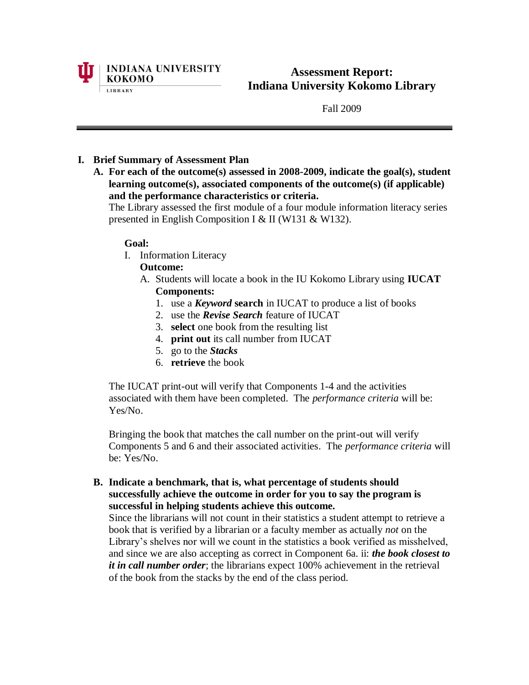

**Assessment Report: Indiana University Kokomo Library**

Fall 2009

# **I. Brief Summary of Assessment Plan**

**A. For each of the outcome(s) assessed in 2008-2009, indicate the goal(s), student learning outcome(s), associated components of the outcome(s) (if applicable) and the performance characteristics or criteria.**

The Library assessed the first module of a four module information literacy series presented in English Composition I & II (W131 & W132).

### **Goal:**

I. Information Literacy

# **Outcome:**

- A. Students will locate a book in the IU Kokomo Library using **IUCAT Components:**
	- 1. use a *Keyword* **search** in IUCAT to produce a list of books
	- 2. use the *Revise Search* feature of IUCAT
	- 3. **select** one book from the resulting list
	- 4. **print out** its call number from IUCAT
	- 5. go to the *Stacks*
	- 6. **retrieve** the book

The IUCAT print-out will verify that Components 1-4 and the activities associated with them have been completed. The *performance criteria* will be: Yes/No.

Bringing the book that matches the call number on the print-out will verify Components 5 and 6 and their associated activities. The *performance criteria* will be: Yes/No.

**B. Indicate a benchmark, that is, what percentage of students should successfully achieve the outcome in order for you to say the program is successful in helping students achieve this outcome.**

Since the librarians will not count in their statistics a student attempt to retrieve a book that is verified by a librarian or a faculty member as actually *not* on the Library's shelves nor will we count in the statistics a book verified as misshelved, and since we are also accepting as correct in Component 6a. ii: *the book closest to it in call number order*; the librarians expect 100% achievement in the retrieval of the book from the stacks by the end of the class period.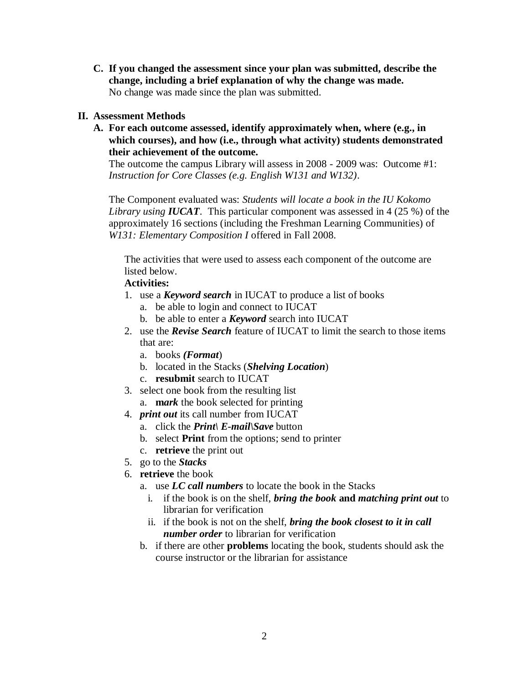**C. If you changed the assessment since your plan was submitted, describe the change, including a brief explanation of why the change was made.** No change was made since the plan was submitted.

### **II. Assessment Methods**

**A. For each outcome assessed, identify approximately when, where (e.g., in which courses), and how (i.e., through what activity) students demonstrated their achievement of the outcome.**

The outcome the campus Library will assess in 2008 - 2009 was: Outcome #1: *Instruction for Core Classes (e.g. English W131 and W132)*.

The Component evaluated was: *Students will locate a book in the IU Kokomo Library using IUCAT*. This particular component was assessed in 4 (25 %) of the approximately 16 sections (including the Freshman Learning Communities) of *W131: Elementary Composition I* offered in Fall 2008.

The activities that were used to assess each component of the outcome are listed below.

# **Activities:**

- 1. use a *Keyword search* in IUCAT to produce a list of books
	- a. be able to login and connect to IUCAT
	- b. be able to enter a *Keyword* search into IUCAT
- 2. use the *Revise Search* feature of IUCAT to limit the search to those items that are:
	- a. books *(Format*)
	- b. located in the Stacks (*Shelving Location*)
	- c. **resubmit** search to IUCAT
- 3. select one book from the resulting list
	- a. **m***ark* the book selected for printing
- 4. *print out* its call number from IUCAT
	- a. click the *Print\ E-mail\Save* button
	- b. select **Print** from the options; send to printer
	- c. **retrieve** the print out
- 5. go to the *Stacks*
- 6. **retrieve** the book
	- a. use *LC call numbers* to locate the book in the Stacks
		- i. if the book is on the shelf, *bring the book* **and** *matching print out* to librarian for verification
		- ii. if the book is not on the shelf, *bring the book closest to it in call number order* to librarian for verification
	- b. if there are other **problems** locating the book, students should ask the course instructor or the librarian for assistance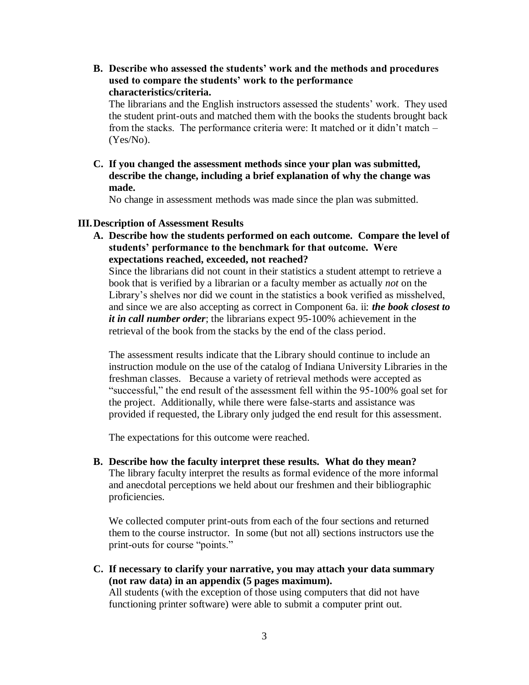**B. Describe who assessed the students' work and the methods and procedures used to compare the students' work to the performance characteristics/criteria.**

The librarians and the English instructors assessed the students' work. They used the student print-outs and matched them with the books the students brought back from the stacks. The performance criteria were: It matched or it didn't match – (Yes/No).

**C. If you changed the assessment methods since your plan was submitted, describe the change, including a brief explanation of why the change was made.**

No change in assessment methods was made since the plan was submitted.

#### **III.Description of Assessment Results**

**A. Describe how the students performed on each outcome. Compare the level of students' performance to the benchmark for that outcome. Were expectations reached, exceeded, not reached?**

Since the librarians did not count in their statistics a student attempt to retrieve a book that is verified by a librarian or a faculty member as actually *not* on the Library's shelves nor did we count in the statistics a book verified as misshelved, and since we are also accepting as correct in Component 6a. ii: *the book closest to it in call number order*; the librarians expect 95-100% achievement in the retrieval of the book from the stacks by the end of the class period.

The assessment results indicate that the Library should continue to include an instruction module on the use of the catalog of Indiana University Libraries in the freshman classes. Because a variety of retrieval methods were accepted as "successful," the end result of the assessment fell within the 95-100% goal set for the project. Additionally, while there were false-starts and assistance was provided if requested, the Library only judged the end result for this assessment.

The expectations for this outcome were reached.

**B. Describe how the faculty interpret these results. What do they mean?**  The library faculty interpret the results as formal evidence of the more informal and anecdotal perceptions we held about our freshmen and their bibliographic proficiencies.

We collected computer print-outs from each of the four sections and returned them to the course instructor. In some (but not all) sections instructors use the print-outs for course "points."

**C. If necessary to clarify your narrative, you may attach your data summary (not raw data) in an appendix (5 pages maximum).** All students (with the exception of those using computers that did not have functioning printer software) were able to submit a computer print out.